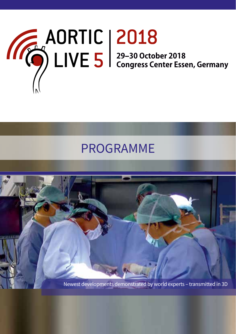

# PROGRAMME

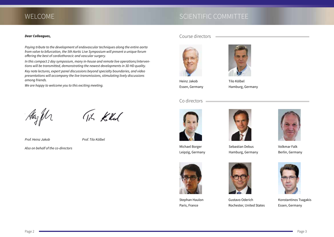## WELCOME WELCOME SCIENTIFIC COMMITTEE

#### *Dear Colleagues,*

*Paying tribute to the development of endovascular techniques along the entire aorta from valve to bifurcation, the 5th Aortic Live Symposium will present a unique forum offering the best of cardiothoracic and vascular surgery.*

*In this compact 2 day symposium, many in-house and remote live operations/interventions will be transmitted, demonstrating the newest developments in 3D HD quality.*

*Key note lectures, expert panel discussions beyond specialty boundaries, and video presentations will accompany the live transmissions, stimulating lively discussions among friends.*

*We are happy to welcome you to this exciting meeting.*

*Sincerely yours,*

Tik Kilul

*Prof. Heinz Jakob Prof. Tilo Kölbel*

*Also on behalf of the co-directors* Sebastian Debus

Course directors



Heinz Jakob Essen, Germany

#### Co directors



Michael Borger Leipzig, Germany



Tilo Kölbel

Hamburg, Germany

Hamburg, Germany



Volkmar Falk Berlin, Germany



Stephan Haulon Paris, France



Gustavo Oderich Rochester, United States



Konstantinos Tsagakis Essen, Germany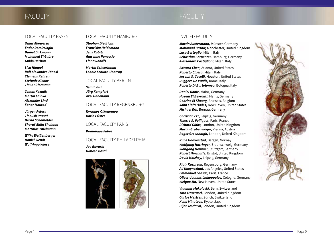# FACULTY **EXECUTS** FACULTY

*Omar Abou-Issa Ender Demircioglu Daniel Dirkmann Mohamed El Gabry Guido Herbon*

*Lisa Himpel Rolf Alexander Jánosi Clemens Kehren Stefanie Klenke Tim Knüfermann*

*Tomas Kozmik Martin Lainka Alexander Lind Fanar Mourad*

*Jürgen Peters Tienush Rassaf Bernd Schönfelder Sharaf-Eldin Shehada Matthias Thielmann*

*Wilko Weißenberger Daniel Wendt Wolf-Ingo Wiese*

### LOCAL FACULTY ESSEN LOCAL FACULTY HAMBURG

*Stephan Diedrichs Franziska Heidemann Jens Kubitz Giuseppe Panuccio Fiona Rohlffs*

*Martin Scheerbaum Leonie Schulte-Uentrop*

#### LOCAL FACULTY BERLIN

*Semih Buz Jörg Kempfert Axel Unbehaun*

#### LOCAL FACULTY REGENSBURG

*Kyriakos Oikonomou Karin Pfister*

LOCAL FACULTY PARIS

*Dominique Fabre*

#### LOCAL FACULTY PHILADELPHIA

*Joe Bavaria Nimesh Desai*



### INVITED FACULTY

*Martin Austermann,* Münster, Germany *Mohamad Bashir,* Manchester, United Kingdom *Luca Bertoglio,* Milan, Italy *Sebastian Carpenter,* Hamburg, Germany *Alessandro Castiglioni,* Milan, Italy

*Edward Chen,* Atlanta, United States *Roberto Chiesa,* Milan, Italy *Joseph S. Coselli,* Houston, United States *Ruggero De Paulis,* Rome, Italy *Roberto Di Bartolomeo,* Bologna, Italy

*Daniel Dohle,* Mainz, Germany *Hazem El Beyrouti,* Mainz, Germany *Gebrine El Khoury,* Brussels, Belgium *John Elefteriades,* New Haven, United States *Michael Erb,* Bernau, Germany

*Christian Etz,* Leipzig, Germany *Thierry A. Folliguet,* Paris, France *Richard Gibbs,* London, United Kingdom *Martin Grabenwöger,* Vienna, Austria *Roger Greenhalgh,* London, United Kingdom

*Rune Haaverstad,* Bergen, Norway *Wolfgang Harringer,* Braunschweig, Germany *Wolfgang Hemmer,* Stuttgart, Germany *Robert Hinchliffe,* Bristol, United Kingdom *David Holzhey,* Leipzig, Germany

*Piotr Kasprzak,* Regensburg, Germany *Ali Khoynezhad,* Los Angeles, United States *Emmanuel Lansac,* Paris, France *Oliver-Joannis Liakopoulos,* Cologne, Germany *Weiguo Ma,* New Haven, United States

*Vladimir Makaloski,* Bern, Switzerland *Tara Mastracci,* London, United Kingdom *Carlos Mestres,* Zürich, Switzerland *Kenji Minatoya,* Kyoto, Japan *Bijan Modarai,* London, United Kingdom

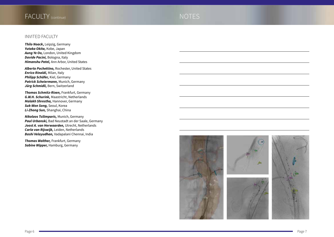## NOTES

### INVITED FACULTY

*Thilo Noack* **,** Leipzig, Germany *Yutaka Okita,* Kobe, Japan *Aung Ye Oo,* London, United Kingdom *Davide Pacini,* Bologna, Italy *Himanshu Patel,* Ann Arbor, United States

*Alberto Pochettino,* Rochester, United States *Enrico Rinaldi,* Milan, Italy *Philipp Schäfer,* Kiel, Germany *Patrick Scheiermann,* Munich, Germany *Jürg Schmidli,* Bern, Switzerland

*Thomas Schmitz-Rixen,* Frankfurt, Germany *G.W.H. Schurink,* Maastricht, Netherlands *Malakh Shrestha,* Hannover, Germany *Suk-Won Song,* Seoul, Korea *Li-Zhong Sun,* Shanghai, China

*Nikolaos Tsilimparis,* Munich, Germany *Paul Urbanski,* Bad Neustadt an der Saale, Germany *Joost A. van Herwaarden,* Utrecht, Netherlands *Carla van Rijswijk,* Leiden, Netherlands *Bashi Velayudhan,* Vadapalani Chennai, India

*Thomas Walther,* Frankfurt, Germany *Sabine Wipper,* Hamburg, Germany

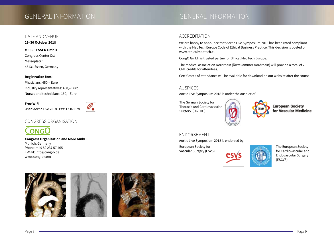## GENERAL INFORMATION

#### DATE AND VENUE

**29–30 October 2018**

#### **MESSE ESSEN GmbH**

Congress Center Ost Messeplatz 1 45131 Essen, Germany

#### **Registration fees:**

Physicians: 450,– Euro Industry representatives: 450,– Euro Nurses and technicians: 150,– Euro

**Free WIFI:**

User: Aortic Live 2018 | PW: 12345678



### CONGRESS ORGANISATION



**Congress Organisation and More GmbH** Munich, Germany Phone: + 49 89 237 57 465 E-Mail: info@cong-o.de www.cong-o.com



### ACCREDITATION

We are happy to announce that Aortic Live Symposium 2018 has been rated compliant with the MedTech Europe Code of Ethical Business Practice. This decision is posted on [www.ethicalmedtech.eu.](http://www.ethicalmedtech.eu.)

CongO GmbH is trusted partner of Ethical MedTech Europe.

The medical association Nordrhein (Ärztekammer Nordrhein) will provide a total of 20 CME credits for attendees.

Certificates of attendance will be available for download on our website after the course.

#### AUSPICES

Aortic Live Symposium 2018 is under the auspice of:

The German Society for Thoracic and Cardiovascular Surgery. (DGTHG)



**European Society** for Vascular Medicine

#### ENDORSEMENT

Aortic Live Symposium 2018 is endorsed by:

European Society for Vascular Surgery (ESVS)



The European Society for Cardiovascular and Endovascular Surgery (ESCVS)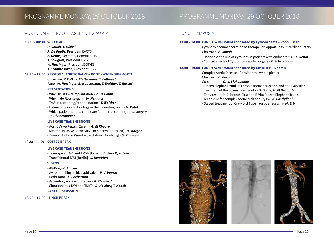## PROGRAMME MONDAY, 29 OCTOBER 2018

## PROGRAMME MONDAY, 29 OCTOBER 2018

#### AORTIC VALVE – ROOT – ASCENDING AORTA

#### **08.00 - 08:30 WELCOME**

#### *H. Jakob, T. Kölbel*

*R. De Paulis,* President EACTS *S. Debus,* Secretary General ESVS *T. Folliguet,* President ESCVS *W. Harringer,* President DGTHG *T. Schmitz-Rixen,* President DGG

#### **08.30 – 13.00 SESSION 1: AORTIC VALVE – ROOT – ASCENDING AORTA**

Chairmen: *V. Falk, J. Elefteriades, T. Folliguet* Panel: *W. Harringer, R. Haaverstad, T. Walther, T. Rassaf*

#### **PRESENTATIONS**

- Why I trust AV-reimplantation *R. De Paulis*
- When I do Ross surgery *W. Hemmer*
- TAVI in ascending/root dilatation *T. Walther*
- Future of Endo-Technology in the ascending aorta *H. Patel*
- Which patient is not a candidate for open ascending aorta surgery -

#### *R. Di Bartolomeo*

#### **LIVE CASE TRANSMISSIONS**

- Aortic Valve Repair [Essen] - *G. El Khoury* - Minimal invasive Aortic Valve Replacement [Essen] - *M. Borger* - Zone 2 TEVAR in Pseudocoarctation [Hamburg] - *G. Panuccio*

#### 10.30 – 11.00 **COFFEE BREAK**

#### **LIVE CASE TRANSMISSIONS**

- Transapical TAVI and TMVR [Essen] - *D. Wendt, A. Lind*

- Transfemoral TAVI [Berlin] - *J. Kempfert*

#### **VIDEOS**

- AV-Ring *E. Lansac*
- AV remodelling in bicuspid valve *P. Urbanski*
- Redo-Root *A. Pochettino*
- Ascending aorta endo repair *A. Khoynezhad*
- Simultaneous TAVI and TMVR *D. Holzhey, T. Noack*

#### **PANEL DISCUSSION**

#### **13.00 – 14.00 LUNCH BREAK**

#### LUNCH SYMPOSIA

#### **13.00 – 14.00 LUNCH SYMPOSIUM sponsored by CytoSorbents – Room Essen**

CytoSorb haemoadsorption as therapeutic opportunity in cardiac surgery Chairman: *H. Jakob*

- Rationale and use of CytoSorb in patients with endocarditis - *D. Wendt* - Clinical effects of CytoSorb in aortic surgery - *P. Scheiermann*

#### **13.00 – 14.00 LUNCH SYMPOSIUM sponsored by CRYOLIFE – Room K**

Complex Aortic Disease - Consider the whole picture Chairman: *D. Pacini*

#### Co-chairman: *O.-J. Liakopoulos*

- Frozen elephant trunk in chronic aortic dissection and endovascular treatment of the downstream aorta - *D. Dohle, H. El Beyrouti* 

- Early results in Debranch First and E-Vita Frozen Elephant Trunk
- Technique for complex aortic arch aneurysm *A. Castiglioni*
- Staged treatment of Crawford Type I aortic aneurysm *M. Erb*



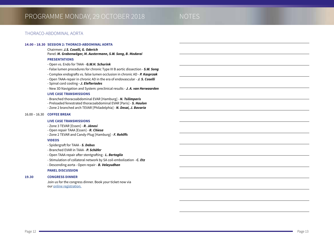#### THORACO-ABDOMINAL AORTA

#### **14.00 – 18.30 SESSION 2: THORACO-ABDOMINAL AORTA**

Chairmen: *J.S. Coselli, G. Oderich* Panel: *M. Grabenwöger, M. Austermann, S.W. Song, B. Modarai*

#### **PRESENTATIONS**

- Open vs. Endo for TAAA *G.W.H. Schurink*
- False lumen procedures for chronic Type III B aortic dissection - *S.W. Song*
- Complex endografts vs. false lumen occlusion in chronic AD *P. Kasprzak*
- Open TAAA-repair in chronic AD in the era of endovascular *J. S. Coselli*
- Spinal cord cooling *J. Elefteriades*
- New 3D Navigation and System: preclinical results *J. A. van Herwaarden*

#### **LIVE CASE TRANSMISSIONS**

- Branched thoracoabdominal EVAR [Hamburg] - *N. Tsilimparis*

- Preloaded fenestrated thoracoabdominal EVAR [Paris] *S. Haulon*
- Zone 2 branched arch TEVAR [Philadelphia] *N. Desai, J. Bavaria*

#### 16.00 – 16.30 **COFFEE BREAK**

#### **LIVE CASE TRANSMISSIONS**

- Zone 3 TEVAR [Essen] *R. Jánosi*
- Open repair TAAA [Essen] *R. Chiesa*
- Zone 2 TEVAR and Candy-Plug [Hamburg] *F. Rohlffs*

#### **VIDEOS**

- Spidergraft for TAAA *S. Debus*
- Branched EVAR in TAAA *P. Schäfer*
- Open TAAA repair after stentgrafting *L. Bertoglio*
- Stimulation of collateral network by SA coil-embolization *C. Etz*
- Descending aorta Open repair *B. Velayudhan*

#### **PANEL DISCUSSION**

#### **19.30 CONGRESS DINNER**

Join us for the congress dinner. Book your ticket now via our [online registration.](https://www.aortic-live.com/registration_2018/)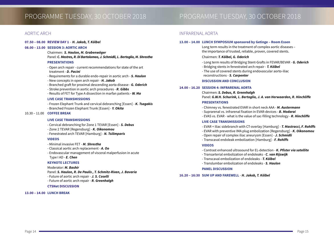### AORTIC ARCH

#### **07.50 – 08.00 REVIEW DAY 1** – *H. Jakob, T. Kölbel*

#### **08.00 – 13.00 SESSION 3: AORTIC ARCH**

Chairmen: *S. Haulon, M. Grabenwöger* Panel: *C. Mestres, R. Di Bartolomeo, J. Schmidli, L. Bertoglio, M. Shrestha*

#### **PRESENTATIONS**

- Open arch repair current recommendations for state of the art treatment - *D. Pacini*
- Requirements for a durable endo-repair in aortic arch *S. Haulon*
- New concepts in open arch repair - *H. Jakob*
- Branched graft for proximal descending aorta disease *G. Oderich*
- Stroke prevention in aortic arch procedures *R. Gibbs*
- Results of FET for Type A dissection in marfan patients *W. Ma*

#### **LIVE CASE TRANSMISSIONS**

- Frozen Elephant Trunk and cervical debranching [Essen] - *K. Tsagakis* - Branched Frozen Elephant Trunk [Essen] - *Y. Okita* 

#### 10.30 – 11.00 **COFFEE BREAK**

#### **LIVE CASE TRANSMISSIONS**

- Cervical debranching for Zone 1 TEVAR [Essen] - *S. Debus*

- Zone 2 TEVAR [Regensburg] *K. Oikonomou*
- Fenestrated arch TEVAR [Hamburg] *N. Tsilimparis*

#### **VIDEOS**

- Minimal invasive FET *M. Shrestha*
- Classical aortic arch replacement *A. Oo*
- Endovascular management of visceral malperfusion in acute Type I AD - *E. Chen*

#### **KEYNOTE LECTURES**

Moderator: *M. Bashir*

- Panel: *S. Haulon, R. De Paulis , T. Schmitz-Rixen, J. Bavaria*
- Future of aortic arch repair *J. S. Coselli*
- Future of aortic arch repair *R. Greenhalgh*

#### **CTSNet DISCUSSION**

#### **13.00 – 14.00 LUNCH BREAK**

### INFRARENAL AORTA

#### **13.00 – 14.00 LUNCH SYMPOSIUM sponsored by Getinge – Room Essen**

Long term results in the treatment of complex aortic diseases – the importance of trusted, reliable, proven, covered stents.

#### Chairmen: *T. Kölbel, G. Oderich*

- Long term results of Bridging Stent-Grafts in FEVAR/BEVAR *G. Oderich*
- Bridging stents in fenestrated arch repair *T. Kölbel*
- The use of covered stents during endovascular aorto-iliac reconstructions - *S. Carpenter*

#### **DISCUSSION AND CONCLUSION**

#### **14.00 – 16.20 SESSION 4: INFRARENAL AORTA**

Chairmen: *S. Debus, R. Greenhalgh* Panel: *G.W.H. Schurink, L. Bertoglio, J. A. van Herwaarden, R. Hinchliffe*

#### **PRESENTATIONS**

- Chimney vs. fenestrated EVAR in short neck AAA *M. Austermann*
- Suprarenal vs. infrarenal fixation in EVAR-devices *B. Modarai*
- EVAS vs. EVAR what is the value of sac-filling technology *R. Hinchliffe*

#### **LIVE CASE TRANSMISSIONS**

- EVAR + iliac sidebranch with CT-overlay [Hamburg] *T. Mastracci, F. Rohlffs*
- EVAR with preventive IMA plug embolization [Regensburg] *K. Oikonomou*
- Open repair of complex iliac aneurysm [Essen] *J. Schmidli*
- Transcaval endoleak embolization [Hamburg] *F. Rohlffs*

#### **VIDEOS**

- Contrast enhanced ultrasound for EL-detection *K. Pfister via satellite*
- Transarterial embolization of endoleaks *C. van Rijswijk*
- Transcaval embolization of endoleaks *T. Kölbel*
- Translumbar embolization of endoleaks *S. Haulon*

#### **PANEL DISCUSSION**

#### **16.20 – 16:30 SUM UP AND FAREWELL** - *H. Jakob, T. Kölbel*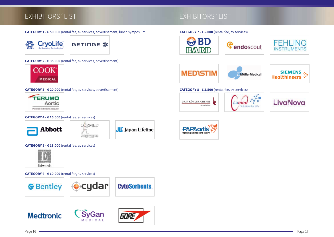## EXHIBITORS´LIST WELLCOME EXHIBITORS´LIST

#### **CATEGORY 1 - € 50.000** (rental fee, av services, advertisement, lunch symposium)

**CryoLife** GETINGE \*

**CATEGORY 2 - € 35.000** (rental fee, av services, advertisement)



#### **CATEGORY 3 - € 20.000** (rental fee, av services, advertisement)



#### **CATEGORY 4 - € 15.000** (rental fee, av services)





JE Japan Lifeline

# **PAPAarl** fighting spinal cord injur

**CATEGORY 5 - € 13.000** (rental fee, av services)



**CATEGORY 6 - € 10.000** (rental fee, av services)





#### **CATEGORY 7 - € 5.000** (rental fee, av services)









#### **CATEGORY 8 - € 2.500** (rental fee, av services)





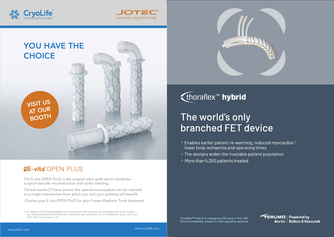



## E-vita<sup>®</sup>OPEN PLUS

The E-vita OPEN PLUS is the original stent graft which combines surgical vascular reconstruction with aortic stenting.

Clinical results [1] have proven the operative procedure can be reduced to a single intervention from which you and your patients will benefit.

Choose your E-vita OPEN PLUS for your Frozen Elephant Trunk treatment.

[1] G. Weiss et al. The frozen elephant trunk technique for the treatment of complicated type B aortic dissection with involvement of the aortic arch: multicentre early experience. Eur J Cardiothorac Surg., 2015 Jan; 47(1):106-14; discussion 114.



{ thoraflex<sup>™</sup> hybrid

# The world's only **branched FET device**

- Enables earlier patient re-warming, reduced myocardial / lower body ischaemia and operating times
- The designs widen the treatable patient population
- More than 4,250 patients treated

Thoraflex<sup>™</sup> Hybrid is undergoing IDE study in the USA. Product availability subject to local regulatory approval.



Joined the CryoLife® Family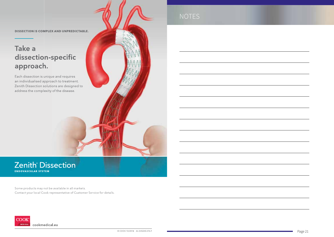**DISSECTION IS COMPLEX AND UNPREDICTABLE.** 

# Take a dissection-specific approach.

Each dissection is unique and requires an individualised approach to treatment. Zenith Dissection solutions are designed to address the complexity of the disease.

### Zenith<sup>®</sup> Dissection **ENDOVASCULAR SYSTEM**

Some products may not be available in all markets. Contact your local Cook representative of Customer Service for details.



NOTES